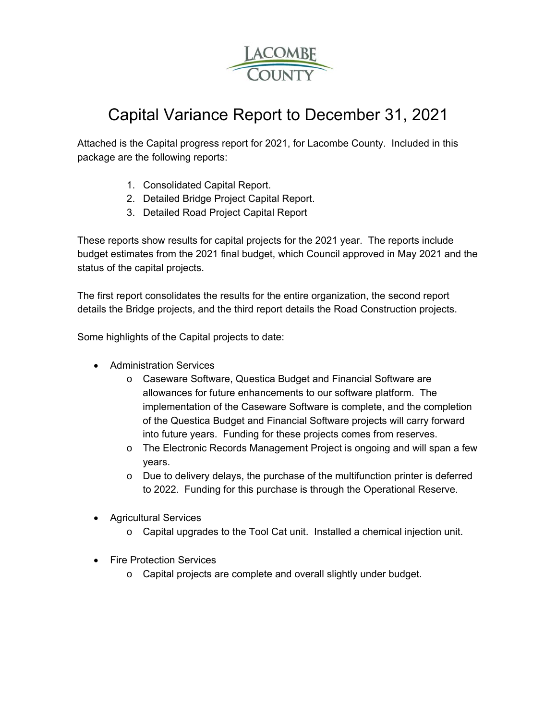

## Capital Variance Report to December 31, 2021

Attached is the Capital progress report for 2021, for Lacombe County. Included in this package are the following reports:

- 1. Consolidated Capital Report.
- 2. Detailed Bridge Project Capital Report.
- 3. Detailed Road Project Capital Report

These reports show results for capital projects for the 2021 year. The reports include budget estimates from the 2021 final budget, which Council approved in May 2021 and the status of the capital projects.

The first report consolidates the results for the entire organization, the second report details the Bridge projects, and the third report details the Road Construction projects.

Some highlights of the Capital projects to date:

- Administration Services
	- o Caseware Software, Questica Budget and Financial Software are allowances for future enhancements to our software platform. The implementation of the Caseware Software is complete, and the completion of the Questica Budget and Financial Software projects will carry forward into future years. Funding for these projects comes from reserves.
	- o The Electronic Records Management Project is ongoing and will span a few years.
	- $\circ$  Due to delivery delays, the purchase of the multifunction printer is deferred to 2022. Funding for this purchase is through the Operational Reserve.
- Agricultural Services
	- o Capital upgrades to the Tool Cat unit. Installed a chemical injection unit.
- Fire Protection Services
	- o Capital projects are complete and overall slightly under budget.